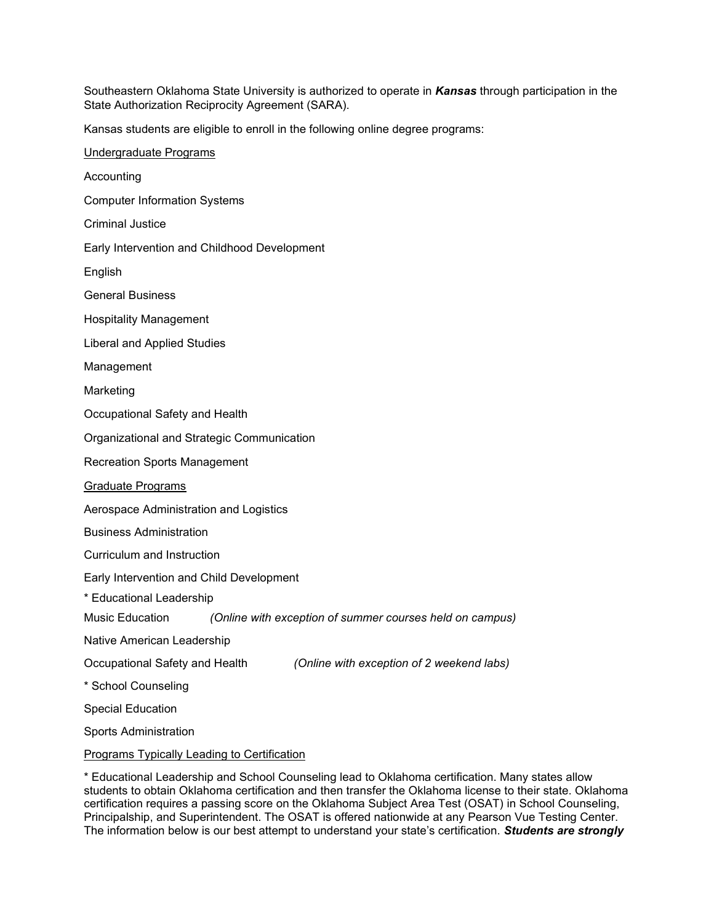Southeastern Oklahoma State University is authorized to operate in *Kansas* through participation in the State Authorization Reciprocity Agreement (SARA).

Kansas students are eligible to enroll in the following online degree programs:

\* Educational Leadership and School Counseling lead to Oklahoma certification. Many states allow students to obtain Oklahoma certification and then transfer the Oklahoma license to their state. Oklahoma certification requires a passing score on the Oklahoma Subject Area Test (OSAT) in School Counseling, Principalship, and Superintendent. The OSAT is offered nationwide at any Pearson Vue Testing Center. The information below is our best attempt to understand your state's certification. *Students are strongly*